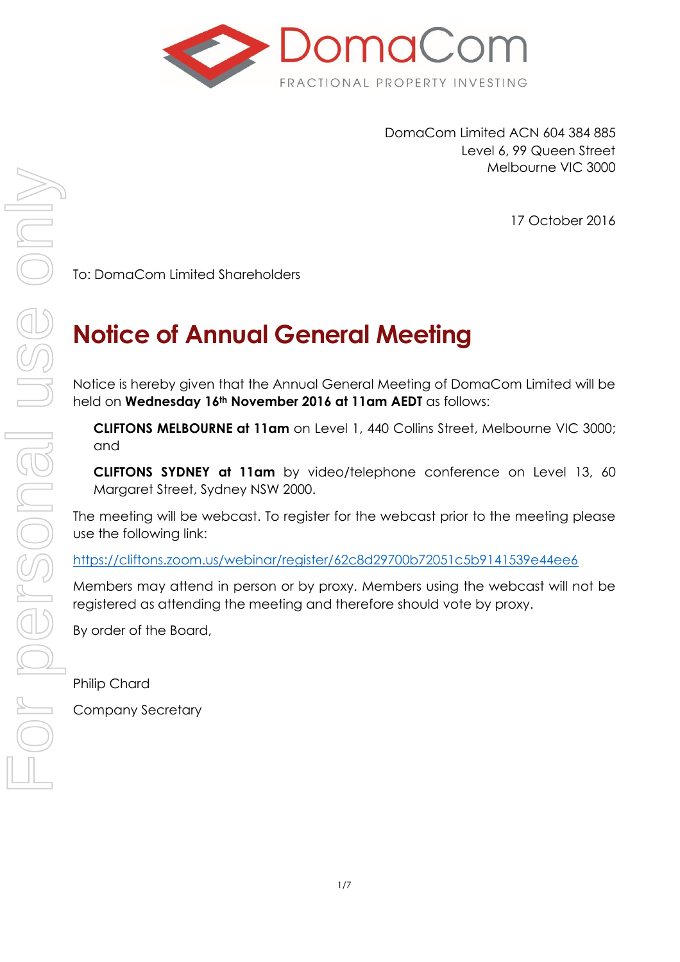

DomaCom Limited ACN 604 384 885 Level 6, 99 Queen Street Melbourne VIC 3000

17 October 2016

To: DomaCom Limited Shareholders

# **Notice of Annual General Meeting**

Notice is hereby given that the Annual General Meeting of DomaCom Limited will be held on **Wednesday 16th November 2016 at 11am AEDT** as follows:

**CLIFTONS MELBOURNE at 11am** on Level 1, 440 Collins Street, Melbourne VIC 3000; and

**CLIFTONS SYDNEY at 11am** by video/telephone conference on Level 13, 60 Margaret Street, Sydney NSW 2000.

The meeting will be webcast. To register for the webcast prior to the meeting please use the following link:

<https://cliftons.zoom.us/webinar/register/62c8d29700b72051c5b9141539e44ee6>

Members may attend in person or by proxy. Members using the webcast will not be registered as attending the meeting and therefore should vote by proxy.

By order of the Board,

Philip Chard

Company Secretary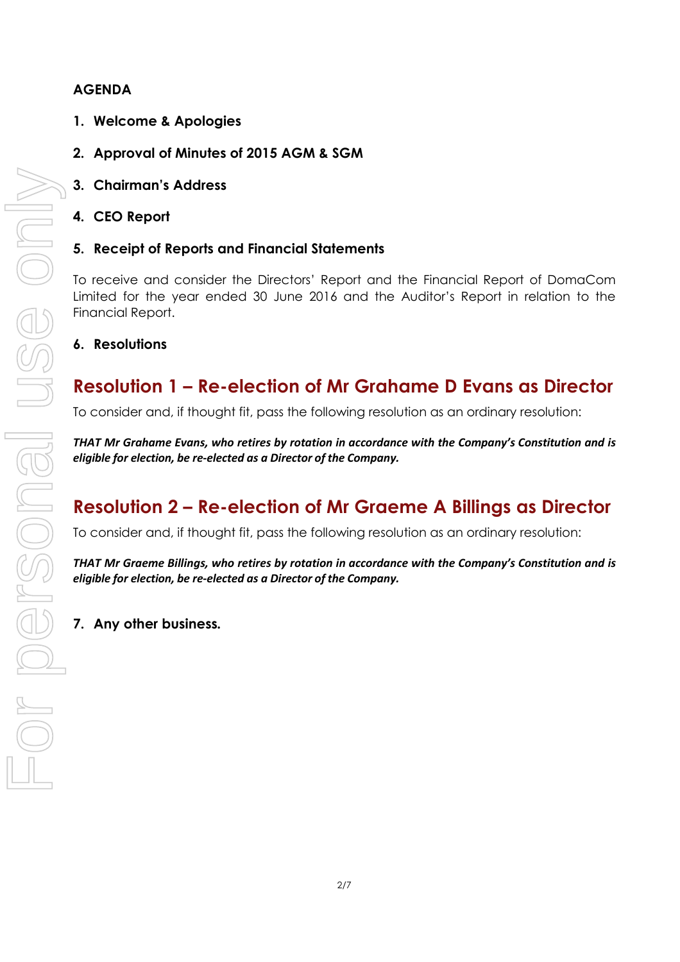### **AGENDA**

- **1. Welcome & Apologies**
- **2. Approval of Minutes of 2015 AGM & SGM**
- **3. Chairman's Address**
- **4. CEO Report**
- **5. Receipt of Reports and Financial Statements**

To receive and consider the Directors' Report and the Financial Report of DomaCom Limited for the year ended 30 June 2016 and the Auditor's Report in relation to the Financial Report.

**6. Resolutions**

# **Resolution 1 – Re-election of Mr Grahame D Evans as Director**

To consider and, if thought fit, pass the following resolution as an ordinary resolution:

*THAT Mr Grahame Evans, who retires by rotation in accordance with the Company's Constitution and is eligible for election, be re-elected as a Director of the Company.*

# **Resolution 2 – Re-election of Mr Graeme A Billings as Director**

To consider and, if thought fit, pass the following resolution as an ordinary resolution:

*THAT Mr Graeme Billings, who retires by rotation in accordance with the Company's Constitution and is eligible for election, be re-elected as a Director of the Company.*

**7. Any other business***.*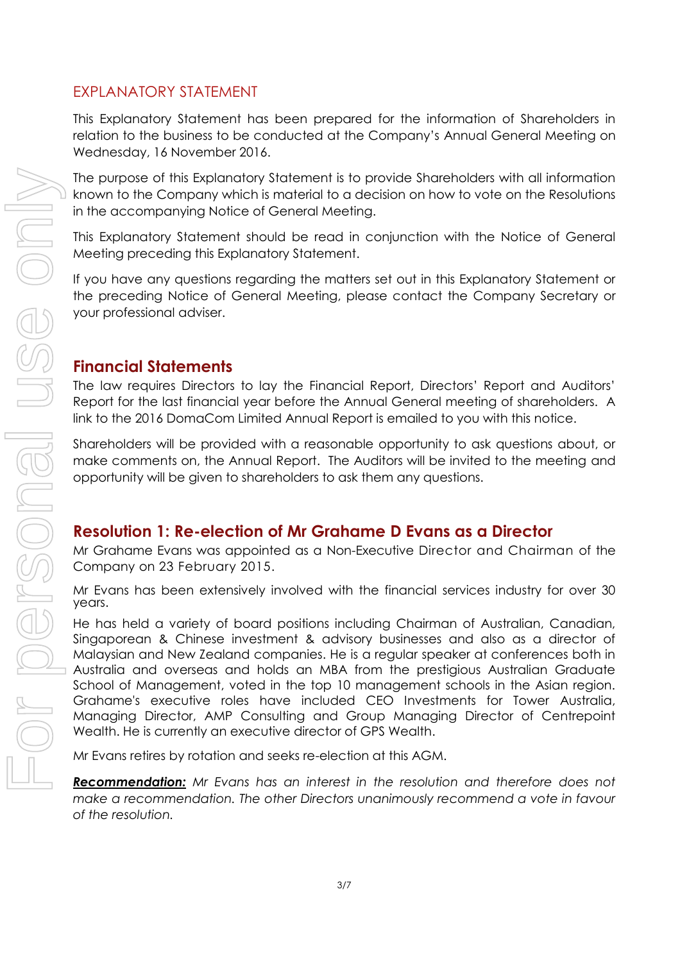### EXPLANATORY STATEMENT

This Explanatory Statement has been prepared for the information of Shareholders in relation to the business to be conducted at the Company's Annual General Meeting on Wednesday, 16 November 2016.

The purpose of this Explanatory Statement is to provide Shareholders with all information known to the Company which is material to a decision on how to vote on the Resolutions in the accompanying Notice of General Meeting.

This Explanatory Statement should be read in conjunction with the Notice of General Meeting preceding this Explanatory Statement.

If you have any questions regarding the matters set out in this Explanatory Statement or the preceding Notice of General Meeting, please contact the Company Secretary or your professional adviser.

### **Financial Statements**

The law requires Directors to lay the Financial Report, Directors' Report and Auditors' Report for the last financial year before the Annual General meeting of shareholders. A link to the 2016 DomaCom Limited Annual Report is emailed to you with this notice.

Shareholders will be provided with a reasonable opportunity to ask questions about, or make comments on, the Annual Report. The Auditors will be invited to the meeting and opportunity will be given to shareholders to ask them any questions.

### **Resolution 1: Re-election of Mr Grahame D Evans as a Director**

Mr Grahame Evans was appointed as a Non-Executive Director and Chairman of the Company on 23 February 2015.

Mr Evans has been extensively involved with the financial services industry for over 30 years.

He has held a variety of board positions including Chairman of Australian, Canadian, Singaporean & Chinese investment & advisory businesses and also as a director of Malaysian and New Zealand companies. He is a regular speaker at conferences both in Australia and overseas and holds an MBA from the prestigious Australian Graduate School of Management, voted in the top 10 management schools in the Asian region. Grahame's executive roles have included CEO Investments for Tower Australia, Managing Director, AMP Consulting and Group Managing Director of Centrepoint Wealth. He is currently an executive director of GPS Wealth.

Mr Evans retires by rotation and seeks re-election at this AGM.

*Recommendation: Mr Evans has an interest in the resolution and therefore does not*  make a recommendation. The other Directors unanimously recommend a vote in favour *of the resolution.*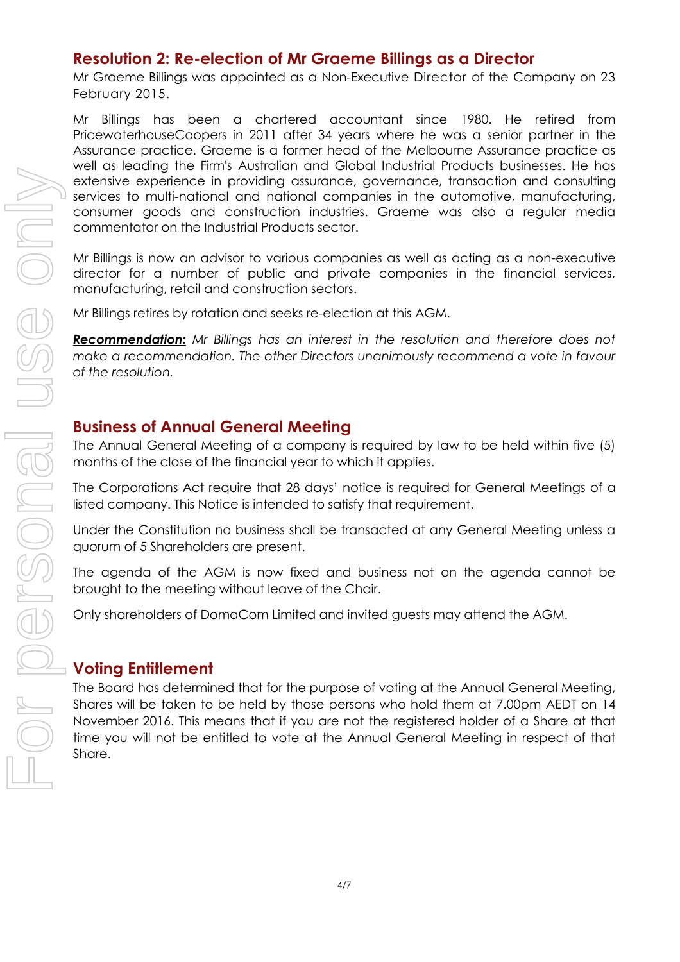### **Resolution 2: Re-election of Mr Graeme Billings as a Director**

Mr Graeme Billings was appointed as a Non-Executive Director of the Company on 23 February 2015.

Mr Billings has been a chartered accountant since 1980. He retired from PricewaterhouseCoopers in 2011 after 34 years where he was a senior partner in the Assurance practice. Graeme is a former head of the Melbourne Assurance practice as well as leading the Firm's Australian and Global Industrial Products businesses. He has extensive experience in providing assurance, governance, transaction and consulting services to multi-national and national companies in the automotive, manufacturing, consumer goods and construction industries. Graeme was also a regular media commentator on the Industrial Products sector.

Mr Billings is now an advisor to various companies as well as acting as a non-executive director for a number of public and private companies in the financial services, manufacturing, retail and construction sectors.

Mr Billings retires by rotation and seeks re-election at this AGM.

*Recommendation: Mr Billings has an interest in the resolution and therefore does not make a recommendation. The other Directors unanimously recommend a vote in favour of the resolution.*

### **Business of Annual General Meeting**

The Annual General Meeting of a company is required by law to be held within five (5) months of the close of the financial year to which it applies.

The Corporations Act require that 28 days' notice is required for General Meetings of a listed company. This Notice is intended to satisfy that requirement.

Under the Constitution no business shall be transacted at any General Meeting unless a quorum of 5 Shareholders are present.

The agenda of the AGM is now fixed and business not on the agenda cannot be brought to the meeting without leave of the Chair.

Only shareholders of DomaCom Limited and invited guests may attend the AGM.

### **Voting Entitlement**

The Board has determined that for the purpose of voting at the Annual General Meeting, Shares will be taken to be held by those persons who hold them at 7.00pm AEDT on 14 November 2016. This means that if you are not the registered holder of a Share at that time you will not be entitled to vote at the Annual General Meeting in respect of that Share.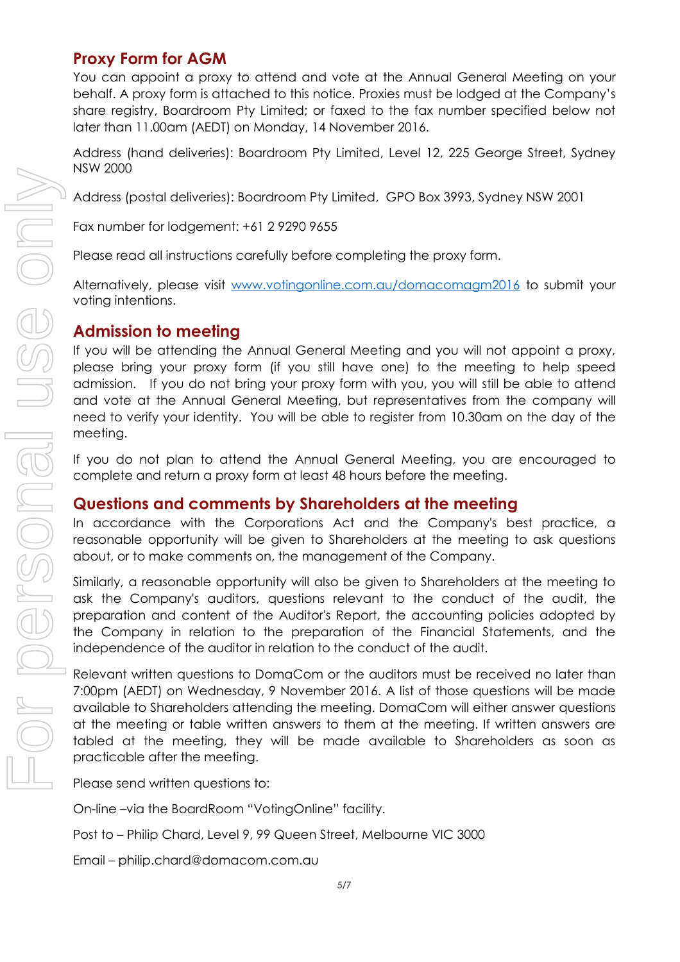### **Proxy Form for AGM**

You can appoint a proxy to attend and vote at the Annual General Meeting on your behalf. A proxy form is attached to this notice. Proxies must be lodged at the Company's share registry, Boardroom Pty Limited; or faxed to the fax number specified below not later than 11.00am (AEDT) on Monday, 14 November 2016.

Address (hand deliveries): Boardroom Pty Limited, Level 12, 225 George Street, Sydney NSW 2000

Address (postal deliveries): Boardroom Pty Limited, GPO Box 3993, Sydney NSW 2001

Fax number for lodgement: +61 2 9290 9655

Please read all instructions carefully before completing the proxy form.

Alternatively, please visit [www.votingonline.com.au/domacomagm2016](http://www.votingonline.com.au/domacomagm2016) to submit your voting intentions.

### **Admission to meeting**

If you will be attending the Annual General Meeting and you will not appoint a proxy, please bring your proxy form (if you still have one) to the meeting to help speed admission. If you do not bring your proxy form with you, you will still be able to attend and vote at the Annual General Meeting, but representatives from the company will need to verify your identity. You will be able to register from 10.30am on the day of the meeting.

If you do not plan to attend the Annual General Meeting, you are encouraged to complete and return a proxy form at least 48 hours before the meeting.

### **Questions and comments by Shareholders at the meeting**

In accordance with the Corporations Act and the Company's best practice, a reasonable opportunity will be given to Shareholders at the meeting to ask questions about, or to make comments on, the management of the Company.

Similarly, a reasonable opportunity will also be given to Shareholders at the meeting to ask the Company's auditors, questions relevant to the conduct of the audit, the preparation and content of the Auditor's Report, the accounting policies adopted by the Company in relation to the preparation of the Financial Statements, and the independence of the auditor in relation to the conduct of the audit.

Relevant written questions to DomaCom or the auditors must be received no later than 7:00pm (AEDT) on Wednesday, 9 November 2016. A list of those questions will be made available to Shareholders attending the meeting. DomaCom will either answer questions at the meeting or table written answers to them at the meeting. If written answers are tabled at the meeting, they will be made available to Shareholders as soon as practicable after the meeting.

Please send written questions to:

On-line –via the BoardRoom "VotingOnline" facility.

Post to – Philip Chard, Level 9, 99 Queen Street, Melbourne VIC 3000

Email – philip.chard@domacom.com.au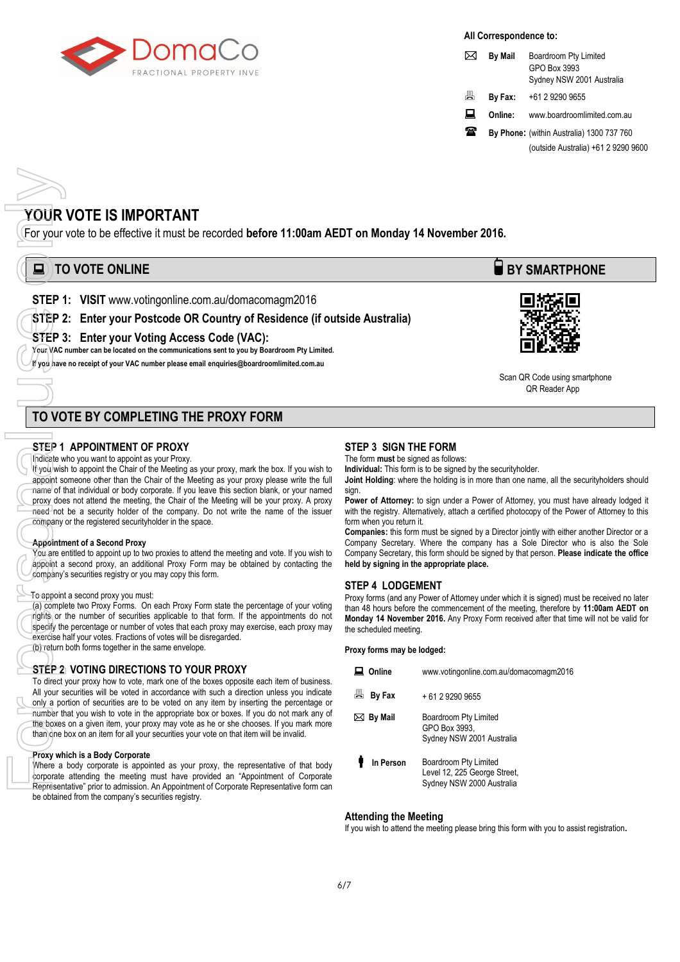

#### **All Correspondence to:**

|   | <b>By Mail</b> | Boardroom Pty Limited<br>GPO Box 3993<br>Sydney NSW 2001 Australia |  |
|---|----------------|--------------------------------------------------------------------|--|
| 昌 | By Fax:        | +61 2 9290 9655                                                    |  |
| 口 | Online:        | www.boardroomlimited.com.au                                        |  |
| Ж |                | By Phone: (within Australia) 1300 737 760                          |  |
|   |                | (outside Australia) +61 2 9290 9600                                |  |

#### **YOUR VOTE IS IMPORTANT**

For your vote to be effective it must be recorded **before 11:00am AEDT on Monday 14 November 2016.** 

## **E** TO VOTE ONLINE **BY SMARTPHONE**

**STEP 1: VISIT** www.votingonline.com.au/domacomagm2016

#### **STEP 2: Enter your Postcode OR Country of Residence (if outside Australia)**

**STEP 3: Enter your Voting Access Code (VAC):**

**Your VAC number can be located on the communications sent to you by Boardroom Pty Limited.** 

**If you have no receipt of your VAC number please emai[l enquiries@boardroomlimited.com.au](mailto:enquiries@boardroomlimited.com.au)**



 Scan QR Code using smartphone OR Reader App

#### **TO VOTE BY COMPLETING THE PROXY FORM**

#### **STEP 1 APPOINTMENT OF PROXY**

Indicate who you want to appoint as your Proxy.

If you wish to appoint the Chair of the Meeting as your proxy, mark the box. If you wish to appoint someone other than the Chair of the Meeting as your proxy please write the full name of that individual or body corporate. If you leave this section blank, or your named proxy does not attend the meeting, the Chair of the Meeting will be your proxy. A proxy need not be a security holder of the company. Do not write the name of the issuer company or the registered securityholder in the space. **For your STEP 1**<br>
For your STEP 1<br>
STEP 3<br>
For your vac if you have<br> **For your vac if you have**<br> **For your vac if you have**<br> **For personal use of the start of the start of the start of appoint a**<br> **Company** depoint a<br> *Co* 

#### **Appointment of a Second Proxy**

You are entitled to appoint up to two proxies to attend the meeting and vote. If you wish to appoint a second proxy, an additional Proxy Form may be obtained by contacting the company's securities registry or you may copy this form.

#### To appoint a second proxy you must:

(a) complete two Proxy Forms. On each Proxy Form state the percentage of your voting rights or the number of securities applicable to that form. If the appointments do not specify the percentage or number of votes that each proxy may exercise, each proxy may exercise half your votes. Fractions of votes will be disregarded.

(b) return both forms together in the same envelope.

#### **STEP 2 VOTING DIRECTIONS TO YOUR PROXY**

To direct your proxy how to vote, mark one of the boxes opposite each item of business. All your securities will be voted in accordance with such a direction unless you indicate only a portion of securities are to be voted on any item by inserting the percentage or number that you wish to vote in the appropriate box or boxes. If you do not mark any of the boxes on a given item, your proxy may vote as he or she chooses. If you mark more than one box on an item for all your securities your vote on that item will be invalid.

#### **Proxy which is a Body Corporate**

Where a body corporate is appointed as your proxy, the representative of that body corporate attending the meeting must have provided an "Appointment of Corporate Representative" prior to admission. An Appointment of Corporate Representative form can be obtained from the company's securities registry.

#### **STEP 3 SIGN THE FORM**

The form **must** be signed as follows:

**Individual:** This form is to be signed by the securityholder.

**Joint Holding**: where the holding is in more than one name, all the securityholders should sign.

Power of Attorney: to sign under a Power of Attorney, you must have already lodged it with the registry. Alternatively, attach a certified photocopy of the Power of Attorney to this form when you return it.

**Companies:** this form must be signed by a Director jointly with either another Director or a Company Secretary. Where the company has a Sole Director who is also the Sole Company Secretary, this form should be signed by that person. **Please indicate the office held by signing in the appropriate place.**

#### **STEP 4 LODGEMENT**

Proxy forms (and any Power of Attorney under which it is signed) must be received no later than 48 hours before the commencement of the meeting, therefore by **11:00am AEDT on Monday 14 November 2016.** Any Proxy Form received after that time will not be valid for the scheduled meeting.

**Proxy forms may be lodged:**

| Online            | www.votingonline.com.au/domacomagm2016                                             |
|-------------------|------------------------------------------------------------------------------------|
| 昌<br>By Fax       | + 61 2 9290 9655                                                                   |
| $\bowtie$ By Mail | Boardroom Pty Limited<br>GPO Box 3993.<br>Sydney NSW 2001 Australia                |
| In Person         | Boardroom Pty Limited<br>Level 12, 225 George Street,<br>Sydney NSW 2000 Australia |

#### **Attending the Meeting**

If you wish to attend the meeting please bring this form with you to assist registration**.**